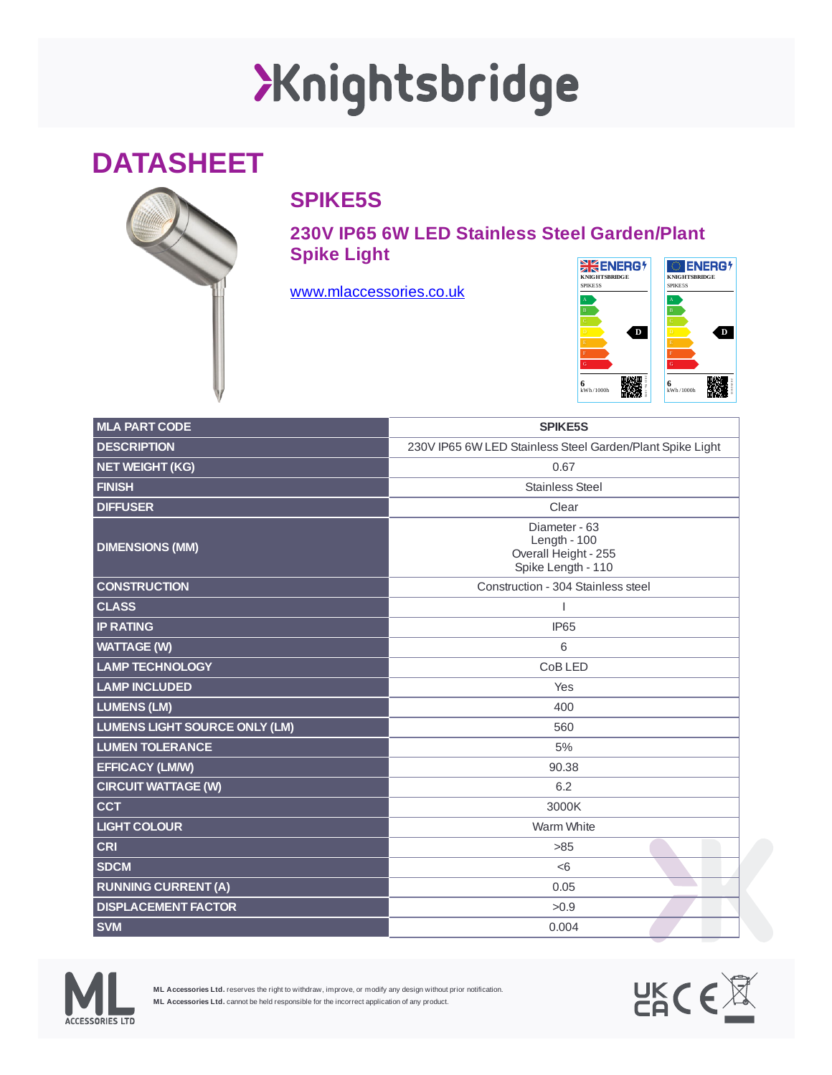## Xnightsbridge

## **DATASHEET**



## **SPIKE5S**

**230V IP65 6W LED Stainless Steel Garden/Plant Spike Light**

[www.mlaccessories.co.uk](https://www.mlaccessories.co.uk/)



| <b>MLA PART CODE</b>                 | <b>SPIKE5S</b>                                                                |
|--------------------------------------|-------------------------------------------------------------------------------|
| <b>DESCRIPTION</b>                   | 230V IP65 6W LED Stainless Steel Garden/Plant Spike Light                     |
| <b>NET WEIGHT (KG)</b>               | 0.67                                                                          |
| <b>FINISH</b>                        | <b>Stainless Steel</b>                                                        |
| <b>DIFFUSER</b>                      | Clear                                                                         |
| <b>DIMENSIONS (MM)</b>               | Diameter - 63<br>Length - $100$<br>Overall Height - 255<br>Spike Length - 110 |
| <b>CONSTRUCTION</b>                  | Construction - 304 Stainless steel                                            |
| <b>CLASS</b>                         | T                                                                             |
| <b>IP RATING</b>                     | <b>IP65</b>                                                                   |
| <b>WATTAGE (W)</b>                   | 6                                                                             |
| <b>LAMP TECHNOLOGY</b>               | CoB LED                                                                       |
| <b>LAMP INCLUDED</b>                 | Yes                                                                           |
| <b>LUMENS (LM)</b>                   | 400                                                                           |
| <b>LUMENS LIGHT SOURCE ONLY (LM)</b> | 560                                                                           |
| <b>LUMEN TOLERANCE</b>               | 5%                                                                            |
| <b>EFFICACY (LM/W)</b>               | 90.38                                                                         |
| <b>CIRCUIT WATTAGE (W)</b>           | 6.2                                                                           |
| <b>CCT</b>                           | 3000K                                                                         |
| <b>LIGHT COLOUR</b>                  | Warm White                                                                    |
| <b>CRI</b>                           | $>85$                                                                         |
| <b>SDCM</b>                          | < 6                                                                           |
| <b>RUNNING CURRENT (A)</b>           | 0.05                                                                          |
| <b>DISPLACEMENT FACTOR</b>           | >0.9                                                                          |
| <b>SVM</b>                           | 0.004                                                                         |



**ML Accessories Ltd.** reserves the right to withdraw, improve, or modify any design without prior notification. **ML Accessories Ltd.** cannot be held responsible for the incorrect application of any product.